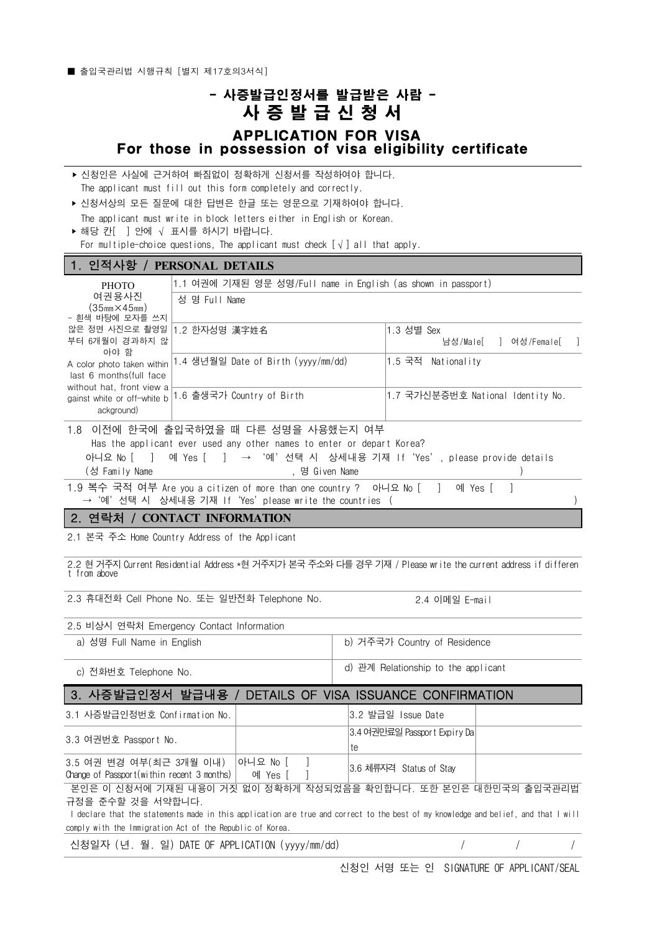■ 출입국관리법 시행규칙 [별지 제17호의3서식]

## - 사증발급인정서를 발급받은 사람 -  $\frac{1}{2}$ <br>-<br>- 이 이 이 있습니다.<br>- 이 있습니다.<br>- PPLICATION FOR VISA<br>- PROSCION Of ViSS Cligibility cortificate APPLICATION FOR VISA For those in possession of visa eligibility certificate

| ▶ 신청인은 사실에 근거하여 빠짐없이 정확하게 신청서를 작성하여야 합니다.                       |  |
|-----------------------------------------------------------------|--|
| The applicant must fill out this form completely and correctly. |  |

‣ 신청서상의 모든 질문에 대한 답변은 한글 또는 영문으로 기재하여야 합니다.

| The applicant must write in block letters either in English or Korean. |  |
|------------------------------------------------------------------------|--|
| ▶ 해당 카「 ㅣ안에 √ 표시를 하시기 바랍니다.                                            |  |

For multiple-choice questions, The applicant must check  $[\sqrt{}]$  all that apply.

## 1. 인적사항 / **PERSONAL DETAILS**

| <b>PHOTO</b>                                                                                                                                                                 | 1.1 여권에 기재된 영문 성명/Full name in English (as shown in passport)                                                 |                                                     |  |  |  |
|------------------------------------------------------------------------------------------------------------------------------------------------------------------------------|---------------------------------------------------------------------------------------------------------------|-----------------------------------------------------|--|--|--|
| 여권용사진<br>$(35mm \times 45mm)$<br>- 흰색 바탕에 모자를 쓰지                                                                                                                             | 성 명 Full Name                                                                                                 |                                                     |  |  |  |
| 않은 정면 사진으로 촬영일<br>부터 6개월이 경과하지 않<br>아야 함<br>A color photo taken within<br>last 6 months (full face<br>without hat, front view a<br>gainst white or off-white b<br>ackground) | 2 한자성명 漢字姓名                                                                                                   | 1.3 성별 Sex<br>남성/Male[ ] 여성/Female[ ]               |  |  |  |
|                                                                                                                                                                              | 1.4 생년월일 Date of Birth (yyyy/mm/dd)                                                                           | 1.5 국적 Nationality                                  |  |  |  |
|                                                                                                                                                                              | 1.6 출생국가 Country of Birth                                                                                     | 1.7 국가신분증번호 National Identity No.                   |  |  |  |
| 아니요 No [   ] 예 Yes [   ]                                                                                                                                                     | 1.8 이전에 한국에 출입국하였을 때 다른 성명을 사용했는지 여부<br>Has the applicant ever used any other names to enter or depart Korea? | → '예' 선택 시 상세내용 기재 If 'Yes', please provide details |  |  |  |
| (성 Family Name                                                                                                                                                               | , 명 Given Name                                                                                                |                                                     |  |  |  |
| 1.9 복수 국적 여부 Are you a citizen of more than one country ? 아니요 No [ ] 예 Yes [<br>→ '예'선택 시 상세내용 기재 If 'Yes' please write the countries (                                      |                                                                                                               |                                                     |  |  |  |
| l 2. 연락처<br>/ CONTACT INFORMATION                                                                                                                                            |                                                                                                               |                                                     |  |  |  |

2.1 본국 주소 Home Country Address of the Applicant

2.2 현 거주지 Current Residential Address \*현 거주지가 본국 주소와 다를 경우 기재 / Please write the current address if differen t from above

2.3 휴대전화 Cell Phone No. 또는 일반전화 Telephone No. 2.4 이메일 E-mail

| 2.5 비상시 연락처 Emergency Contact Information |                                     |
|-------------------------------------------|-------------------------------------|
| a) 성명 Full Name in English                | b) 거주국가 Country of Residence        |
| c) 전화번호 Telephone No.                     | d) 관계 Relationship to the applicant |

## 3. 사증발급인정서 발급내용 / DETAILS OF VISA ISSUANCE CONFIRMATION

| 3.1 사증발급인정번호 Confirmation No.                                                                                                                                                                                             |         | 3.2 발급일 Issue Date                 |  |
|---------------------------------------------------------------------------------------------------------------------------------------------------------------------------------------------------------------------------|---------|------------------------------------|--|
| 3.3 여권번호 Passport No.                                                                                                                                                                                                     |         | 3.4 여권만료일 Passport Expiry Da<br>te |  |
| 3.5 여권 변경 여부(최근 3개월 이내) │아니요 No [<br>Change of Passport (within recent 3 months)                                                                                                                                          | 예 Yes [ | 3.6 체류자격 Status of Stay            |  |
| 본인은 이 신청서에 기재된 내용이 거짓 없이 정확하게 작성되었음을 확인합니다. 또한 본인은 대한민국의 출입국관리법<br>규정을 준수할 것을 서약합니다.<br>declare that the statements made in this application are true and correct to the best of my knowledge and belief, and that I will |         |                                    |  |
| comply with the Immigration Act of the Republic of Korea.                                                                                                                                                                 |         |                                    |  |

신청일자 (년. 월. 일) DATE OF APPLICATION (yyyy/mm/dd) / / /

신청인 서명 또는 인 SIGNATURE OF APPLICANT/SEAL